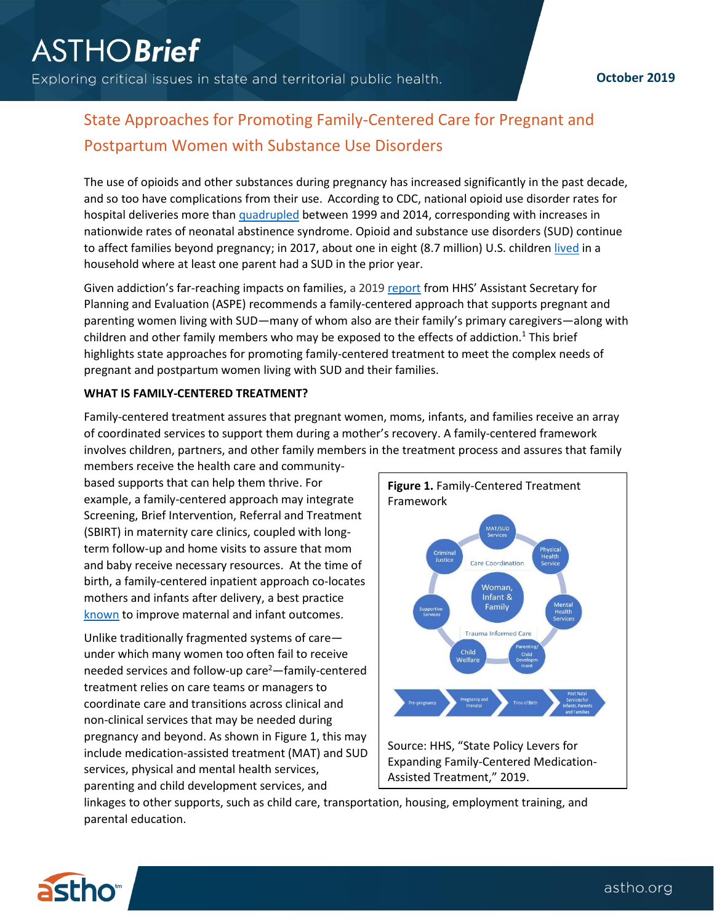Exploring critical issues in state and territorial public health.

## **October 2019**

# State Approaches for Promoting Family-Centered Care for Pregnant and Postpartum Women with Substance Use Disorders

The use of opioids and other substances during pregnancy has increased significantly in the past decade, and so too have complications from their use. According to CDC, national opioid use disorder rates for hospital deliveries more than [quadrupled](https://www.cdc.gov/mmwr/volumes/67/wr/mm6731a1.htm) between 1999 and 2014, corresponding with increases in nationwide rates of neonatal abstinence syndrome. Opioid and substance use disorders (SUD) continue to affect families beyond pregnancy; in 2017, about one in eight (8.7 million) U.S. childre[n lived](https://www.samhsa.gov/data/sites/default/files/report_3223/ShortReport-3223.pdf) in a household where at least one parent had a SUD in the prior year.

Given addiction's far-reaching impacts on families, a 201[9 report](https://aspe.hhs.gov/basic-report/state-policy-levers-expanding-family-centered-medication-assisted-treatment#ref) from HHS' Assistant Secretary for Planning and Evaluation (ASPE) recommends a family-centered approach that supports pregnant and parenting women living with SUD—many of whom also are their family's primary caregivers—along with children and other family members who may be exposed to the effects of addiction.<sup>1</sup> This brief highlights state approaches for promoting family-centered treatment to meet the complex needs of pregnant and postpartum women living with SUD and their families.

### **WHAT IS FAMILY-CENTERED TREATMENT?**

Family-centered treatment assures that pregnant women, moms, infants, and families receive an array of coordinated services to support them during a mother's recovery. A family-centered framework involves children, partners, and other family members in the treatment process and assures that family

members receive the health care and communitybased supports that can help them thrive. For example, a family-centered approach may integrate Screening, Brief Intervention, Referral and Treatment (SBIRT) in maternity care clinics, coupled with longterm follow-up and home visits to assure that mom and baby receive necessary resources. At the time of birth, a family-centered inpatient approach co-locates mothers and infants after delivery, a best practice [known](https://pediatrics.aappublications.org/content/pediatrics/early/2016/05/17/peds.2015-2929.full.pdf) to improve maternal and infant outcomes.

Unlike traditionally fragmented systems of care under which many women too often fail to receive needed services and follow-up care<sup>2</sup>—family-centered treatment relies on care teams or managers to coordinate care and transitions across clinical and non-clinical services that may be needed during pregnancy and beyond. As shown in Figure 1, this may include medication-assisted treatment (MAT) and SUD services, physical and mental health services, parenting and child development services, and



linkages to other supports, such as child care, transportation, housing, employment training, and parental education.